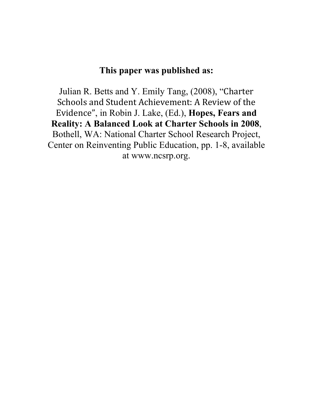# **This paper was published as:**

Julian R. Betts and Y. Emily Tang, (2008), "Charter Schools and Student Achievement: A Review of the Evidence", in Robin J. Lake, (Ed.), **Hopes, Fears and Reality: A Balanced Look at Charter Schools in 2008**, Bothell, WA: National Charter School Research Project, Center on Reinventing Public Education, pp. 1-8, available at www.ncsrp.org.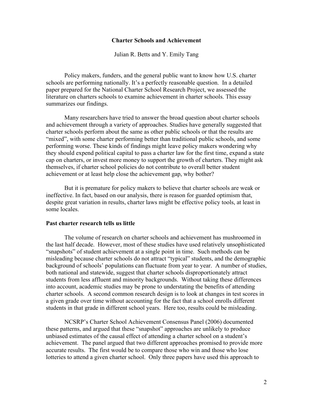## **Charter Schools and Achievement**

Julian R. Betts and Y. Emily Tang

Policy makers, funders, and the general public want to know how U.S. charter schools are performing nationally. It's a perfectly reasonable question. In a detailed paper prepared for the National Charter School Research Project, we assessed the literature on charters schools to examine achievement in charter schools. This essay summarizes our findings.

Many researchers have tried to answer the broad question about charter schools and achievement through a variety of approaches. Studies have generally suggested that charter schools perform about the same as other public schools or that the results are "mixed", with some charter performing better than traditional public schools, and some performing worse. These kinds of findings might leave policy makers wondering why they should expend political capital to pass a charter law for the first time, expand a state cap on charters, or invest more money to support the growth of charters. They might ask themselves, if charter school policies do not contribute to overall better student achievement or at least help close the achievement gap, why bother?

But it is premature for policy makers to believe that charter schools are weak or ineffective. In fact, based on our analysis, there is reason for guarded optimism that, despite great variation in results, charter laws might be effective policy tools, at least in some locales.

## **Past charter research tells us little**

The volume of research on charter schools and achievement has mushroomed in the last half decade. However, most of these studies have used relatively unsophisticated "snapshots" of student achievement at a single point in time. Such methods can be misleading because charter schools do not attract "typical" students, and the demographic background of schools' populations can fluctuate from year to year. A number of studies, both national and statewide, suggest that charter schools disproportionately attract students from less affluent and minority backgrounds. Without taking these differences into account, academic studies may be prone to understating the benefits of attending charter schools. A second common research design is to look at changes in test scores in a given grade over time without accounting for the fact that a school enrolls different students in that grade in different school years. Here too, results could be misleading.

NCSRP's Charter School Achievement Consensus Panel (2006) documented these patterns, and argued that these "snapshot" approaches are unlikely to produce unbiased estimates of the causal effect of attending a charter school on a student's achievement. The panel argued that two different approaches promised to provide more accurate results. The first would be to compare those who win and those who lose lotteries to attend a given charter school. Only three papers have used this approach to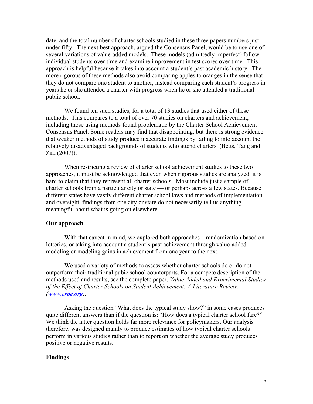date, and the total number of charter schools studied in these three papers numbers just under fifty. The next best approach, argued the Consensus Panel, would be to use one of several variations of value-added models. These models (admittedly imperfect) follow individual students over time and examine improvement in test scores over time. This approach is helpful because it takes into account a student's past academic history. The more rigorous of these methods also avoid comparing apples to oranges in the sense that they do not compare one student to another, instead comparing each student's progress in years he or she attended a charter with progress when he or she attended a traditional public school.

We found ten such studies, for a total of 13 studies that used either of these methods. This compares to a total of over 70 studies on charters and achievement, including those using methods found problematic by the Charter School Achievement Consensus Panel. Some readers may find that disappointing, but there is strong evidence that weaker methods of study produce inaccurate findings by failing to into account the relatively disadvantaged backgrounds of students who attend charters. (Betts, Tang and Zau (2007)).

When restricting a review of charter school achievement studies to these two approaches, it must be acknowledged that even when rigorous studies are analyzed, it is hard to claim that they represent all charter schools. Most include just a sample of charter schools from a particular city or state — or perhaps across a few states. Because different states have vastly different charter school laws and methods of implementation and oversight, findings from one city or state do not necessarily tell us anything meaningful about what is going on elsewhere.

#### **Our approach**

With that caveat in mind, we explored both approaches – randomization based on lotteries, or taking into account a student's past achievement through value-added modeling or modeling gains in achievement from one year to the next.

We used a variety of methods to assess whether charter schools do or do not outperform their traditional pubic school counterparts. For a compete description of the methods used and results, see the complete paper, *Value Added and Experimental Studies of the Effect of Charter Schools on Student Achievement: A Literature Review. (www.crpe.org).* 

Asking the question "What does the typical study show?" in some cases produces quite different answers than if the question is: "How does a typical charter school fare?" We think the latter question holds far more relevance for policymakers. Our analysis therefore, was designed mainly to produce estimates of how typical charter schools perform in various studies rather than to report on whether the average study produces positive or negative results.

## **Findings**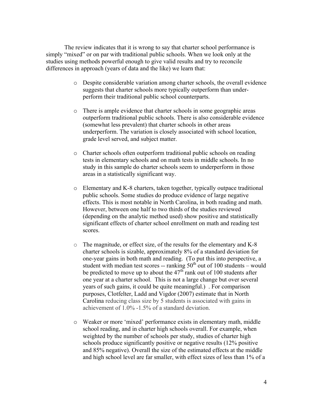The review indicates that it is wrong to say that charter school performance is simply "mixed" or on par with traditional public schools. When we look only at the studies using methods powerful enough to give valid results and try to reconcile differences in approach (years of data and the like) we learn that:

- o Despite considerable variation among charter schools, the overall evidence suggests that charter schools more typically outperform than underperform their traditional public school counterparts.
- o There is ample evidence that charter schools in some geographic areas outperform traditional public schools. There is also considerable evidence (somewhat less prevalent) that charter schools in other areas underperform. The variation is closely associated with school location, grade level served, and subject matter.
- o Charter schools often outperform traditional public schools on reading tests in elementary schools and on math tests in middle schools. In no study in this sample do charter schools seem to underperform in those areas in a statistically significant way.
- o Elementary and K-8 charters, taken together, typically outpace traditional public schools. Some studies do produce evidence of large negative effects. This is most notable in North Carolina, in both reading and math. However, between one half to two thirds of the studies reviewed (depending on the analytic method used) show positive and statistically significant effects of charter school enrollment on math and reading test scores.
- o The magnitude, or effect size, of the results for the elementary and K-8 charter schools is sizable, approximately 8% of a standard deviation for one-year gains in both math and reading. (To put this into perspective, a student with median test scores -- ranking  $50<sup>th</sup>$  out of 100 students – would be predicted to move up to about the  $47<sup>th</sup>$  rank out of 100 students after one year at a charter school. This is not a large change but over several years of such gains, it could be quite meaningful.) . For comparison purposes, Clotfelter, Ladd and Vigdor (2007) estimate that in North Carolina reducing class size by 5 students is associated with gains in achievement of 1.0% -1.5% of a standard deviation.
- o Weaker or more 'mixed' performance exists in elementary math, middle school reading, and in charter high schools overall. For example, when weighted by the number of schools per study, studies of charter high schools produce significantly positive or negative results (12% positive and 85% negative). Overall the size of the estimated effects at the middle and high school level are far smaller, with effect sizes of less than 1% of a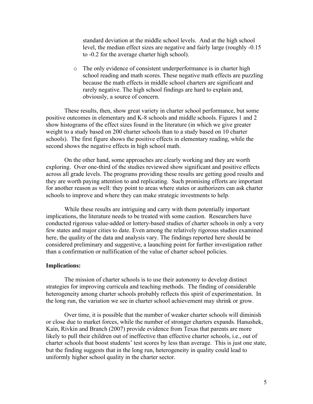standard deviation at the middle school levels. And at the high school level, the median effect sizes are negative and fairly large (roughly -0.15 to -0.2 for the average charter high school).

o The only evidence of consistent underperformance is in charter high school reading and math scores. These negative math effects are puzzling because the math effects in middle school charters are significant and rarely negative. The high school findings are hard to explain and, obviously, a source of concern.

These results, then, show great variety in charter school performance, but some positive outcomes in elementary and K-8 schools and middle schools. Figures 1 and 2 show histograms of the effect sizes found in the literature (in which we give greater weight to a study based on 200 charter schools than to a study based on 10 charter schools). The first figure shows the positive effects in elementary reading, while the second shows the negative effects in high school math.

On the other hand, some approaches are clearly working and they are worth exploring. Over one-third of the studies reviewed show significant and positive effects across all grade levels. The programs providing these results are getting good results and they are worth paying attention to and replicating. Such promising efforts are important for another reason as well: they point to areas where states or authorizers can ask charter schools to improve and where they can make strategic investments to help.

While these results are intriguing and carry with them potentially important implications, the literature needs to be treated with some caution. Researchers have conducted rigorous value-added or lottery-based studies of charter schools in only a very few states and major cities to date. Even among the relatively rigorous studies examined here, the quality of the data and analysis vary. The findings reported here should be considered preliminary and suggestive, a launching point for further investigation rather than a confirmation or nullification of the value of charter school policies.

## **Implications:**

The mission of charter schools is to use their autonomy to develop distinct strategies for improving curricula and teaching methods. The finding of considerable heterogeneity among charter schools probably reflects this spirit of experimentation. In the long run, the variation we see in charter school achievement may shrink or grow.

Over time, it is possible that the number of weaker charter schools will diminish or close due to market forces, while the number of stronger charters expands. Hanushek, Kain, Rivkin and Branch (2007) provide evidence from Texas that parents are more likely to pull their children out of ineffective than effective charter schools, *i.e.*, out of charter schools that boost students' test scores by less than average. This is just one state, but the finding suggests that in the long run, heterogeneity in quality could lead to uniformly higher school quality in the charter sector.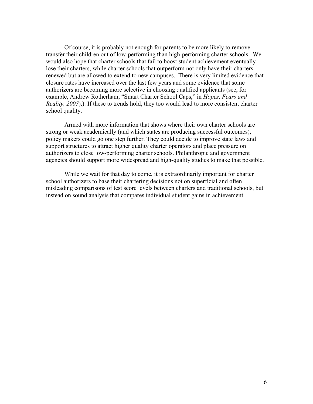Of course, it is probably not enough for parents to be more likely to remove transfer their children out of low-performing than high-performing charter schools. We would also hope that charter schools that fail to boost student achievement eventually lose their charters, while charter schools that outperform not only have their charters renewed but are allowed to extend to new campuses. There is very limited evidence that closure rates have increased over the last few years and some evidence that some authorizers are becoming more selective in choosing qualified applicants (see, for example, Andrew Rotherham, "Smart Charter School Caps," in *Hopes, Fears and Reality, 2007*).). If these to trends hold, they too would lead to more consistent charter school quality.

Armed with more information that shows where their own charter schools are strong or weak academically (and which states are producing successful outcomes), policy makers could go one step further. They could decide to improve state laws and support structures to attract higher quality charter operators and place pressure on authorizers to close low-performing charter schools. Philanthropic and government agencies should support more widespread and high-quality studies to make that possible.

While we wait for that day to come, it is extraordinarily important for charter school authorizers to base their chartering decisions not on superficial and often misleading comparisons of test score levels between charters and traditional schools, but instead on sound analysis that compares individual student gains in achievement.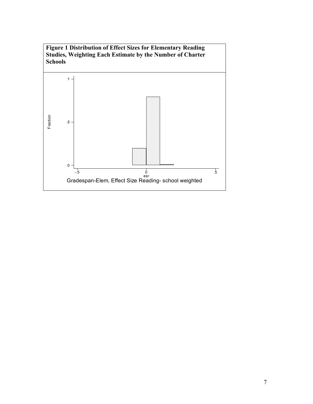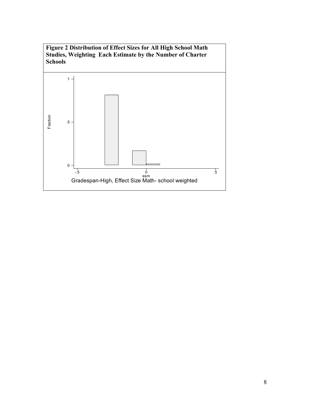